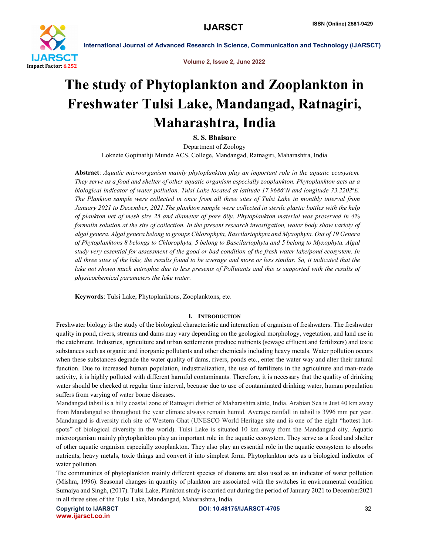

Volume 2, Issue 2, June 2022

# The study of Phytoplankton and Zooplankton in Freshwater Tulsi Lake, Mandangad, Ratnagiri, Maharashtra, India

S. S. Bhaisare

Department of Zoology Loknete Gopinathji Munde ACS, College, Mandangad, Ratnagiri, Maharashtra, India

Abstract: *Aquatic microorganism mainly phytoplankton play an important role in the aquatic ecosystem. They serve as a food and shelter of other aquatic organism especially zooplankton. Phytoplankton acts as a*  biological indicator of water pollution. Tulsi Lake located at latitude 17.9686°N and longitude 73.2202°E. *The Plankton sample were collected in once from all three sites of Tulsi Lake in monthly interval from January 2021 to December, 2021.The plankton sample were collected in sterile plastic bottles with the help of plankton net of mesh size 25 and diameter of pore 60μ. Phytoplankton material was preserved in 4% formalin solution at the site of collection. In the present research investigation, water body show variety of algal genera. Algal genera belong to groups Chlorophyta, Bascilariophyta and Myxophyta. Out of 19 Genera of Phytoplanktons 8 belongs to Chlorophyta, 5 belong to Bascilariophyta and 5 belong to Myxophyta. Algal study very essential for assessment of the good or bad condition of the fresh water lake/pond ecosystem. In all three sites of the lake, the results found to be average and more or less similar. So, it indicated that the*  lake not shown much eutrophic due to less presents of Pollutants and this is supported with the results of *physicochemical parameters the lake water.*

Keywords: Tulsi Lake, Phytoplanktons, Zooplanktons, etc.

#### I. INTRODUCTION

Freshwater biology is the study of the biological characteristic and interaction of organism of freshwaters. The freshwater quality in pond, rivers, streams and dams may vary depending on the geological morphology, vegetation, and land use in the catchment. Industries, agriculture and urban settlements produce nutrients (sewage effluent and fertilizers) and toxic substances such as organic and inorganic pollutants and other chemicals including heavy metals. Water pollution occurs when these substances degrade the water quality of dams, rivers, ponds etc., enter the water way and alter their natural function. Due to increased human population, industrialization, the use of fertilizers in the agriculture and man-made activity, it is highly polluted with different harmful contaminants. Therefore, it is necessary that the quality of drinking water should be checked at regular time interval, because due to use of contaminated drinking water, human population suffers from varying of water borne diseases.

Mandangad tahsil is a hilly coastal zone of Ratnagiri district of Maharashtra state, India. Arabian Sea is Just 40 km away from Mandangad so throughout the year climate always remain humid. Average rainfall in tahsil is 3996 mm per year. Mandangad is diversity rich site of Western Ghat (UNESCO World Heritage site and is one of the eight "hottest hotspots" of biological diversity in the world). Tulsi Lake is situated 10 km away from the Mandangad city. Aquatic microorganism mainly phytoplankton play an important role in the aquatic ecosystem. They serve as a food and shelter of other aquatic organism especially zooplankton. They also play an essential role in the aquatic ecosystem to absorbs nutrients, heavy metals, toxic things and convert it into simplest form. Phytoplankton acts as a biological indicator of water pollution.

The communities of phytoplankton mainly different species of diatoms are also used as an indicator of water pollution (Mishra, 1996). Seasonal changes in quantity of plankton are associated with the switches in environmental condition Sumaiya and Singh, (2017). Tulsi Lake, Plankton study is carried out during the period of January 2021 to December2021 in all three sites of the Tulsi Lake, Mandangad, Maharashtra, India.

www.ijarsct.co.in

Copyright to IJARSCT DOI: 10.48175/IJARSCT-4705 32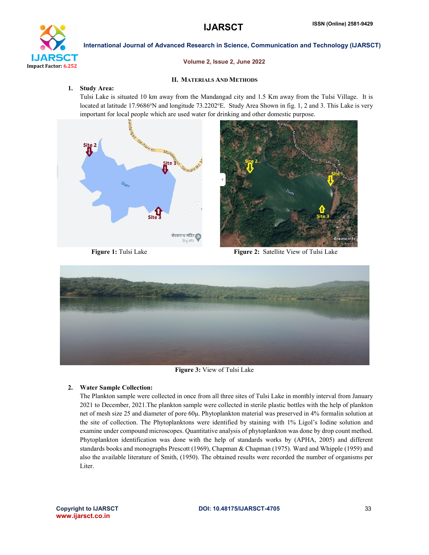

#### Volume 2, Issue 2, June 2022

#### II. MATERIALS AND METHODS

#### 1. Study Area:

Tulsi Lake is situated 10 km away from the Mandangad city and 1.5 Km away from the Tulsi Village. It is located at latitude 17.9686°N and longitude 73.2202°E. Study Area Shown in fig. 1, 2 and 3. This Lake is very important for local people which are used water for drinking and other domestic purpose.





Figure 1: Tulsi Lake Figure 2: Satellite View of Tulsi Lake



Figure 3: View of Tulsi Lake

#### 2. Water Sample Collection:

The Plankton sample were collected in once from all three sites of Tulsi Lake in monthly interval from January 2021 to December, 2021.The plankton sample were collected in sterile plastic bottles with the help of plankton net of mesh size 25 and diameter of pore 60μ. Phytoplankton material was preserved in 4% formalin solution at the site of collection. The Phytoplanktons were identified by staining with 1% Ligol's Iodine solution and examine under compound microscopes. Quantitative analysis of phytoplankton was done by drop count method. Phytoplankton identification was done with the help of standards works by (APHA, 2005) and different standards books and monographs Prescott (1969), Chapman & Chapman (1975). Ward and Whipple (1959) and also the available literature of Smith, (1950). The obtained results were recorded the number of organisms per Liter.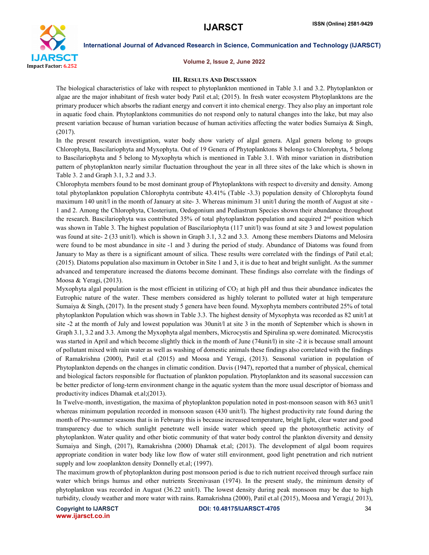

#### Volume 2, Issue 2, June 2022

#### III. RESULTS AND DISCUSSION

The biological characteristics of lake with respect to phytoplankton mentioned in Table 3.1 and 3.2. Phytoplankton or algae are the major inhabitant of fresh water body Patil et.al; (2015). In fresh water ecosystem Phytoplanktons are the primary producer which absorbs the radiant energy and convert it into chemical energy. They also play an important role in aquatic food chain. Phytoplanktons communities do not respond only to natural changes into the lake, but may also present variation because of human variation because of human activities affecting the water bodies Sumaiya & Singh, (2017).

In the present research investigation, water body show variety of algal genera. Algal genera belong to groups Chlorophyta, Bascilariophyta and Myxophyta. Out of 19 Genera of Phytoplanktons 8 belongs to Chlorophyta, 5 belong to Bascilariophyta and 5 belong to Myxophyta which is mentioned in Table 3.1. With minor variation in distribution pattern of phytoplankton nearly similar fluctuation throughout the year in all three sites of the lake which is shown in Table 3. 2 and Graph 3.1, 3.2 and 3.3.

Chlorophyta members found to be most dominant group of Phytoplanktons with respect to diversity and density. Among total phytoplankton population Chlorophyta contribute 43.41% (Table -3.3) population density of Chlorophyta found maximum 140 unit/l in the month of January at site- 3. Whereas minimum 31 unit/l during the month of August at site - 1 and 2. Among the Chlorophyta, Closterium, Oedogonium and Pediastrum Species shown their abundance throughout the research. Bascilariophyta was contributed 35% of total phytoplankton population and acquired  $2<sup>nd</sup>$  position which was shown in Table 3. The highest population of Bascilariophyta (117 unit/l) was found at site 3 and lowest population was found at site- 2 (33 unit/l), which is shown in Graph 3.1, 3.2 and 3.3. Among these members Diatoms and Melosira were found to be most abundance in site -1 and 3 during the period of study. Abundance of Diatoms was found from January to May as there is a significant amount of silica. These results were correlated with the findings of Patil et.al; (2015). Diatoms population also maximum in October in Site 1 and 3, it is due to heat and bright sunlight. As the summer advanced and temperature increased the diatoms become dominant. These findings also correlate with the findings of Moosa & Yeragi, (2013).

Myxophyta algal population is the most efficient in utilizing of  $CO<sub>2</sub>$  at high pH and thus their abundance indicates the Eutrophic nature of the water. These members considered as highly tolerant to polluted water at high temperature Sumaiya & Singh, (2017). In the present study 5 genera have been found. Myxophyta members contributed 25% of total phytoplankton Population which was shown in Table 3.3. The highest density of Myxophyta was recorded as 82 unit/l at site -2 at the month of July and lowest population was 30unit/l at site 3 in the month of September which is shown in Graph 3.1, 3.2 and 3.3. Among the Myxophyta algal members, Microcystis and Spirulina sp.were dominated. Microcystis was started in April and which become slightly thick in the month of June (74unit/l) in site -2 it is because small amount of pollutant mixed with rain water as well as washing of domestic animals these findings also correlated with the findings of Ramakrishna (2000), Patil et.al (2015) and Moosa and Yeragi, (2013). Seasonal variation in population of Phytoplankton depends on the changes in climatic condition. Davis (1947), reported that a number of physical, chemical and biological factors responsible for fluctuation of plankton population. Phytoplankton and its seasonal succession can be better predictor of long-term environment change in the aquatic system than the more usual descriptor of biomass and productivity indices Dhamak et.al;(2013).

In Twelve-month, investigation, the maxima of phytoplankton population noted in post-monsoon season with 863 unit/l whereas minimum population recorded in monsoon season (430 unit/l). The highest productivity rate found during the month of Pre-summer seasons that is in February this is because increased temperature, bright light, clear water and good transparency due to which sunlight penetrate well inside water which speed up the photosynthetic activity of phytoplankton. Water quality and other biotic community of that water body control the plankton diversity and density Sumaiya and Singh, (2017), Ramakrishna (2000) Dhamak et.al; (2013). The development of algal boom requires appropriate condition in water body like low flow of water still environment, good light penetration and rich nutrient supply and low zooplankton density Donnelly et.al; (1997).

The maximum growth of phytoplankton during post monsoon period is due to rich nutrient received through surface rain water which brings humus and other nutrients Sreenivasan (1974). In the present study, the minimum density of phytoplankton was recorded in August (36.22 unit/l). The lowest density during peak monsoon may be due to high turbidity, cloudy weather and more water with rains. Ramakrishna (2000), Patil et.al (2015), Moosa and Yeragi,( 2013),

www.ijarsct.co.in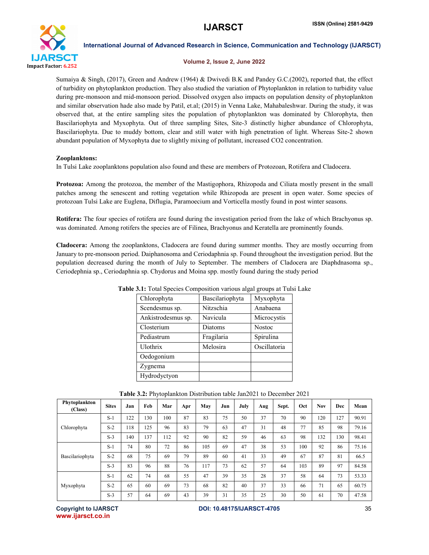

#### Volume 2, Issue 2, June 2022

Sumaiya & Singh, (2017), Green and Andrew (1964) & Dwivedi B.K and Pandey G.C.(2002), reported that, the effect of turbidity on phytoplankton production. They also studied the variation of Phytoplankton in relation to turbidity value during pre-monsoon and mid-monsoon period. Dissolved oxygen also impacts on population density of phytoplankton and similar observation hade also made by Patil, et.al; (2015) in Venna Lake, Mahabaleshwar. During the study, it was observed that, at the entire sampling sites the population of phytoplankton was dominated by Chlorophyta, then Bascilariophyta and Myxophyta. Out of three sampling Sites, Site-3 distinctly higher abundance of Chlorophyta, Bascilariophyta. Due to muddy bottom, clear and still water with high penetration of light. Whereas Site-2 shown abundant population of Myxophyta due to slightly mixing of pollutant, increased CO2 concentration.

### Zooplanktons:

In Tulsi Lake zooplanktons population also found and these are members of Protozoan, Rotifera and Cladocera.

Protozoa: Among the protozoa, the member of the Mastigophora, Rhizopoda and Ciliata mostly present in the small patches among the senescent and rotting vegetation while Rhizopoda are present in open water. Some species of protozoan Tulsi Lake are Euglena, Diflugia, Paramoecium and Vorticella mostly found in post winter seasons.

Rotifera: The four species of rotifera are found during the investigation period from the lake of which Brachyonus sp. was dominated. Among rotifers the species are of Filinea, Brachyonus and Keratella are prominently founds.

Cladocera: Among the zooplanktons, Cladocera are found during summer months. They are mostly occurring from January to pre-monsoon period. Daiphanosoma and Ceriodaphnia sp. Found throughout the investigation period. But the population decreased during the month of July to September. The members of Cladocera are Diaphdnasoma sp., Ceriodephnia sp., Ceriodaphnia sp. Chydorus and Moina spp. mostly found during the study period

| Chlorophyta        | Bascilariophyta | Myxophyta    |
|--------------------|-----------------|--------------|
| Scendesmus sp.     | Nitzschia       | Anabaena     |
| Ankistrodesmus sp. | Navicula        | Microcystis  |
| Closterium         | Diatoms         | Nostoc       |
| Pediastrum         | Fragilaria      | Spirulina    |
| <b>Ulothrix</b>    | Melosira        | Oscillatoria |
| Oedogonium         |                 |              |
| Zygnema            |                 |              |
| Hydrodyctyon       |                 |              |

Table 3.1: Total Species Composition various algal groups at Tulsi Lake

| Phytoplankton<br>(Class) | <b>Sites</b> | Jan | Feb | Mar | Apr | May | Jun | July | Aug | Sept. | Oct | Nov | Dec | Mean  |
|--------------------------|--------------|-----|-----|-----|-----|-----|-----|------|-----|-------|-----|-----|-----|-------|
| Chlorophyta              | $S-1$        | 122 | 130 | 100 | 87  | 83  | 75  | 50   | 37  | 70    | 90  | 120 | 127 | 90.91 |
|                          | $S-2$        | 118 | 125 | 96  | 83  | 79  | 63  | 47   | 31  | 48    | 77  | 85  | 98  | 79.16 |
|                          | $S-3$        | 140 | 137 | 112 | 92  | 90  | 82  | 59   | 46  | 63    | 98  | 132 | 130 | 98.41 |
| Bascilariophyta          | $S-1$        | 74  | 80  | 72  | 86  | 105 | 69  | 47   | 38  | 53    | 100 | 92  | 86  | 75.16 |
|                          | $S-2$        | 68  | 75  | 69  | 79  | 89  | 60  | 41   | 33  | 49    | 67  | 87  | 81  | 66.5  |
|                          | $S-3$        | 83  | 96  | 88  | 76  | 117 | 73  | 62   | 57  | 64    | 103 | 89  | 97  | 84.58 |
| Myxophyta                | $S-1$        | 62  | 74  | 68  | 55  | 47  | 39  | 35   | 28  | 37    | 58  | 64  | 73  | 53.33 |
|                          | $S-2$        | 65  | 60  | 69  | 73  | 68  | 82  | 40   | 37  | 33    | 66  | 71  | 65  | 60.75 |
|                          | $S-3$        | 57  | 64  | 69  | 43  | 39  | 31  | 35   | 25  | 30    | 50  | 61  | 70  | 47.58 |

Table 3.2: Phytoplankton Distribution table Jan2021 to December 2021

www.ijarsct.co.in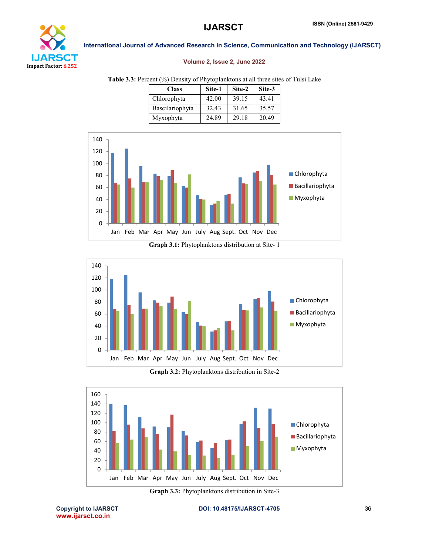

#### Volume 2, Issue 2, June 2022

Table 3.3: Percent (%) Density of Phytoplanktons at all three sites of Tulsi Lake

| <b>Class</b>    | Site-1 | Site-2 | Site-3 |
|-----------------|--------|--------|--------|
| Chlorophyta     | 42.00  | 39.15  | 43.41  |
| Bascilariophyta | 32.43  | 31.65  | 35.57  |
| Myxophyta       | 24.89  | 29.18  | 20.49  |



Graph 3.1: Phytoplanktons distribution at Site- 1



Graph 3.2: Phytoplanktons distribution in Site-2



Graph 3.3: Phytoplanktons distribution in Site-3

www.ijarsct.co.in